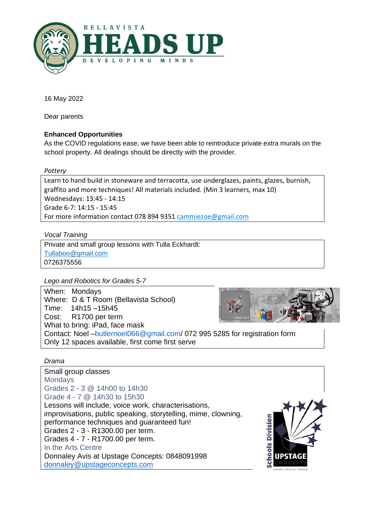

16 May 2022

Dear parents

# **Enhanced Opportunities**

As the COVID regulations ease, we have been able to reintroduce private extra murals on the school property. All dealings should be directly with the provider.

## *Pottery*

Learn to hand build in stoneware and terracotta, use underglazes, paints, glazes, burnish, graffito and more techniques! All materials included. (Min 3 learners, max 10) Wednesdays: 13:45 - 14:15 Grade 6-7: 14:15 - 15:45 For more information contact 078 894 9351 [cammiezoe@gmail.com](mailto:cammiezoe@gmail.com)

*Vocal Training*

Private and small group lessons with Tulla Eckhardt: [Tullaboo@gmail.com](mailto:Tullaboo@gmail.com) 0726375556

*Lego and Robotics for Grades 5-7*

When: Mondays Where: D & T Room (Bellavista School) Time: 14h15 –15h45 Cost: R1700 per term What to bring: iPad, face mask Contact: Noel –butlernoel066@gmail.com/ 072 995 5285 for registration form Only 12 spaces available, first come first serve

# *Drama*

Small group classes **Mondays** Grades 2 - 3 @ 14h00 to 14h30 Grade 4 - 7 @ 14h30 to 15h30 Lessons will include, voice work, characterisations, improvisations, public speaking, storytelling, mime, clowning, performance techniques and guaranteed fun! Grades 2 - 3 - R1300.00 per term. Grades 4 - 7 - R1700.00 per term. In the Arts Centre Donnaley Avis at Upstage Concepts: 0848091998 [donnaley@upstageconcepts.com](mailto:donnaley@upstageconcepts.com)